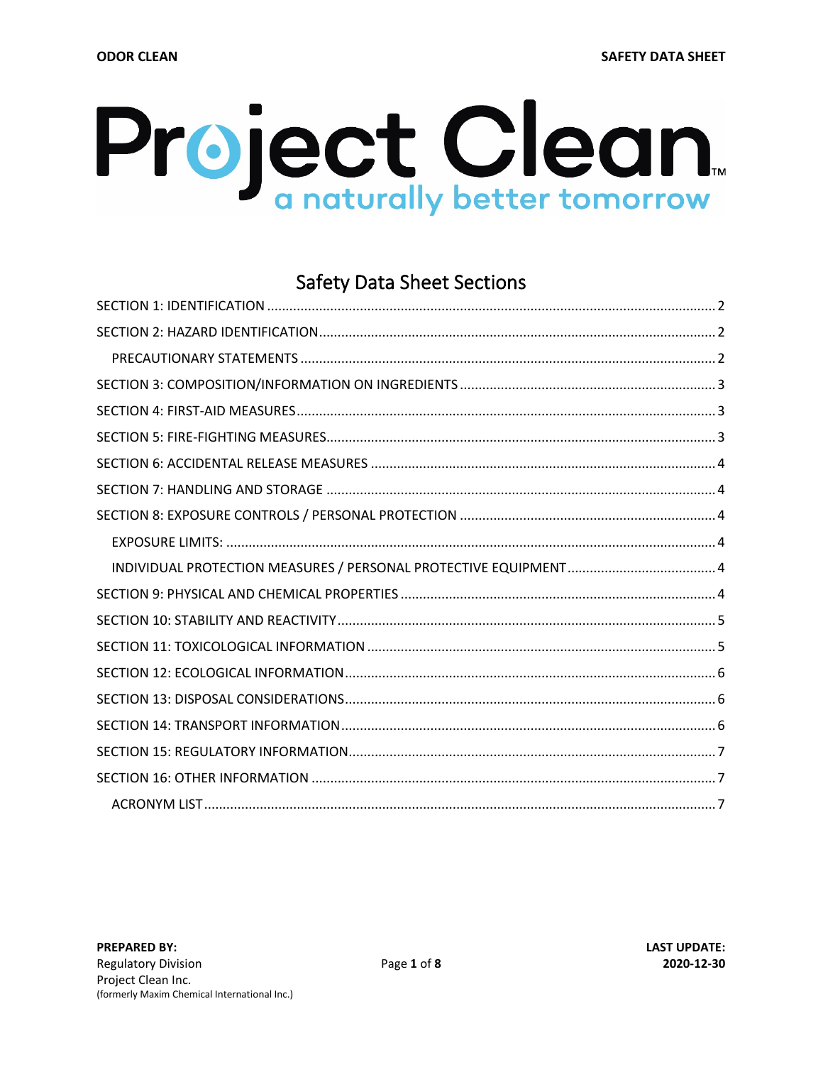# <span id="page-0-0"></span>Project Clean

# **Safety Data Sheet Sections**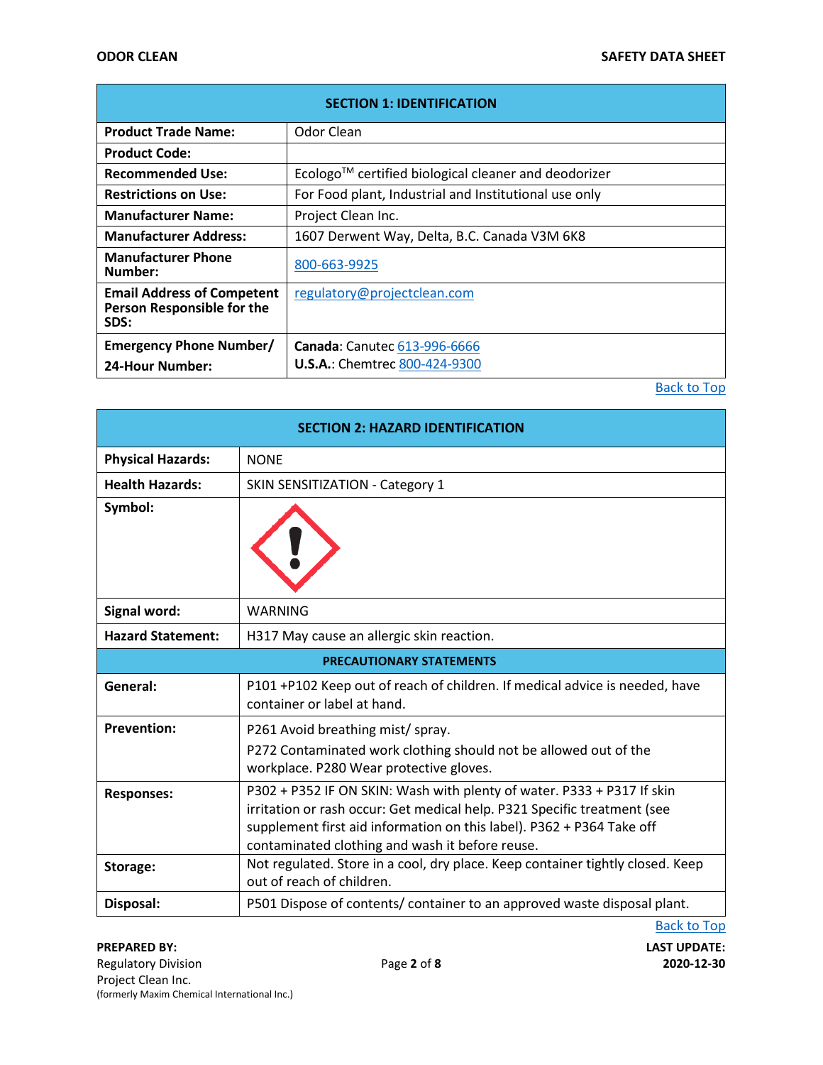<span id="page-1-0"></span>

| <b>SECTION 1: IDENTIFICATION</b>                                        |                                                                             |  |
|-------------------------------------------------------------------------|-----------------------------------------------------------------------------|--|
| <b>Product Trade Name:</b>                                              | Odor Clean                                                                  |  |
| <b>Product Code:</b>                                                    |                                                                             |  |
| <b>Recommended Use:</b>                                                 | $E$ cologo <sup>TM</sup> certified biological cleaner and deodorizer        |  |
| <b>Restrictions on Use:</b>                                             | For Food plant, Industrial and Institutional use only                       |  |
| <b>Manufacturer Name:</b>                                               | Project Clean Inc.                                                          |  |
| <b>Manufacturer Address:</b>                                            | 1607 Derwent Way, Delta, B.C. Canada V3M 6K8                                |  |
| <b>Manufacturer Phone</b><br>Number:                                    | 800-663-9925                                                                |  |
| <b>Email Address of Competent</b><br>Person Responsible for the<br>SDS: | regulatory@projectclean.com                                                 |  |
| <b>Emergency Phone Number/</b><br><b>24-Hour Number:</b>                | <b>Canada: Canutec 613-996-6666</b><br><b>U.S.A.: Chemtrec 800-424-9300</b> |  |

<span id="page-1-2"></span><span id="page-1-1"></span>

| <b>SECTION 2: HAZARD IDENTIFICATION</b> |                                                                                                                                                                                                                                                                                |  |
|-----------------------------------------|--------------------------------------------------------------------------------------------------------------------------------------------------------------------------------------------------------------------------------------------------------------------------------|--|
| <b>Physical Hazards:</b>                | <b>NONE</b>                                                                                                                                                                                                                                                                    |  |
| <b>Health Hazards:</b>                  | SKIN SENSITIZATION - Category 1                                                                                                                                                                                                                                                |  |
| Symbol:                                 |                                                                                                                                                                                                                                                                                |  |
| Signal word:                            | <b>WARNING</b>                                                                                                                                                                                                                                                                 |  |
| <b>Hazard Statement:</b>                | H317 May cause an allergic skin reaction.                                                                                                                                                                                                                                      |  |
| <b>PRECAUTIONARY STATEMENTS</b>         |                                                                                                                                                                                                                                                                                |  |
| General:                                | P101 +P102 Keep out of reach of children. If medical advice is needed, have<br>container or label at hand.                                                                                                                                                                     |  |
| <b>Prevention:</b>                      | P261 Avoid breathing mist/ spray.<br>P272 Contaminated work clothing should not be allowed out of the<br>workplace. P280 Wear protective gloves.                                                                                                                               |  |
| <b>Responses:</b>                       | P302 + P352 IF ON SKIN: Wash with plenty of water. P333 + P317 If skin<br>irritation or rash occur: Get medical help. P321 Specific treatment (see<br>supplement first aid information on this label). P362 + P364 Take off<br>contaminated clothing and wash it before reuse. |  |
| Storage:                                | Not regulated. Store in a cool, dry place. Keep container tightly closed. Keep<br>out of reach of children.                                                                                                                                                                    |  |
| Disposal:                               | P501 Dispose of contents/ container to an approved waste disposal plant.                                                                                                                                                                                                       |  |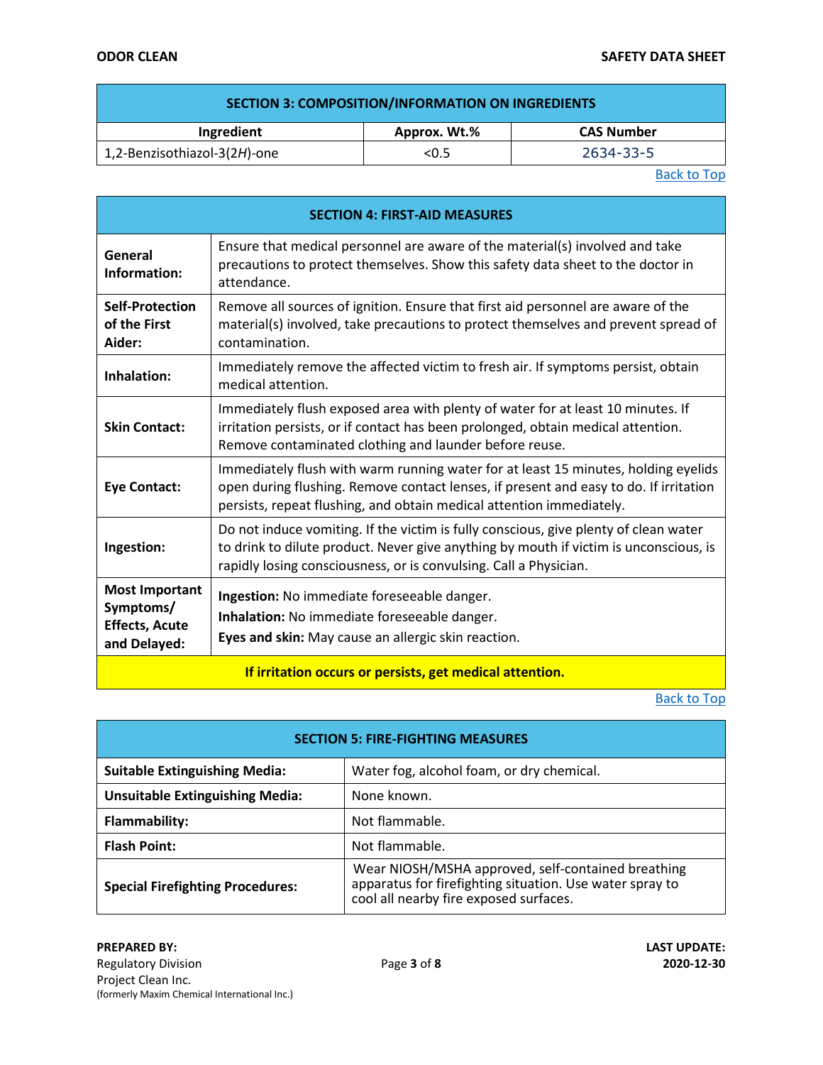<span id="page-2-0"></span>

| <b>SECTION 3: COMPOSITION/INFORMATION ON INGREDIENTS</b> |              |                   |
|----------------------------------------------------------|--------------|-------------------|
| Ingredient                                               | Approx. Wt.% | <b>CAS Number</b> |
| 1,2-Benzisothiazol-3(2H)-one                             | < 0.5        | 2634-33-5         |

<span id="page-2-1"></span>

| <b>SECTION 4: FIRST-AID MEASURES</b>                                        |                                                                                                                                                                                                                                                     |  |
|-----------------------------------------------------------------------------|-----------------------------------------------------------------------------------------------------------------------------------------------------------------------------------------------------------------------------------------------------|--|
| General<br>Information:                                                     | Ensure that medical personnel are aware of the material(s) involved and take<br>precautions to protect themselves. Show this safety data sheet to the doctor in<br>attendance.                                                                      |  |
| <b>Self-Protection</b><br>of the First<br>Aider:                            | Remove all sources of ignition. Ensure that first aid personnel are aware of the<br>material(s) involved, take precautions to protect themselves and prevent spread of<br>contamination.                                                            |  |
| Inhalation:                                                                 | Immediately remove the affected victim to fresh air. If symptoms persist, obtain<br>medical attention.                                                                                                                                              |  |
| <b>Skin Contact:</b>                                                        | Immediately flush exposed area with plenty of water for at least 10 minutes. If<br>irritation persists, or if contact has been prolonged, obtain medical attention.<br>Remove contaminated clothing and launder before reuse.                       |  |
| <b>Eye Contact:</b>                                                         | Immediately flush with warm running water for at least 15 minutes, holding eyelids<br>open during flushing. Remove contact lenses, if present and easy to do. If irritation<br>persists, repeat flushing, and obtain medical attention immediately. |  |
| Ingestion:                                                                  | Do not induce vomiting. If the victim is fully conscious, give plenty of clean water<br>to drink to dilute product. Never give anything by mouth if victim is unconscious, is<br>rapidly losing consciousness, or is convulsing. Call a Physician.  |  |
| <b>Most Important</b><br>Symptoms/<br><b>Effects, Acute</b><br>and Delayed: | Ingestion: No immediate foreseeable danger.<br>Inhalation: No immediate foreseeable danger.<br>Eyes and skin: May cause an allergic skin reaction.                                                                                                  |  |
| If irritation occurs or persists, get medical attention.                    |                                                                                                                                                                                                                                                     |  |

<span id="page-2-2"></span>

| <b>SECTION 5: FIRE-FIGHTING MEASURES</b> |                                                                                                                                                          |  |
|------------------------------------------|----------------------------------------------------------------------------------------------------------------------------------------------------------|--|
| <b>Suitable Extinguishing Media:</b>     | Water fog, alcohol foam, or dry chemical.                                                                                                                |  |
| <b>Unsuitable Extinguishing Media:</b>   | None known.                                                                                                                                              |  |
| <b>Flammability:</b>                     | Not flammable.                                                                                                                                           |  |
| <b>Flash Point:</b>                      | Not flammable.                                                                                                                                           |  |
| <b>Special Firefighting Procedures:</b>  | Wear NIOSH/MSHA approved, self-contained breathing<br>apparatus for firefighting situation. Use water spray to<br>cool all nearby fire exposed surfaces. |  |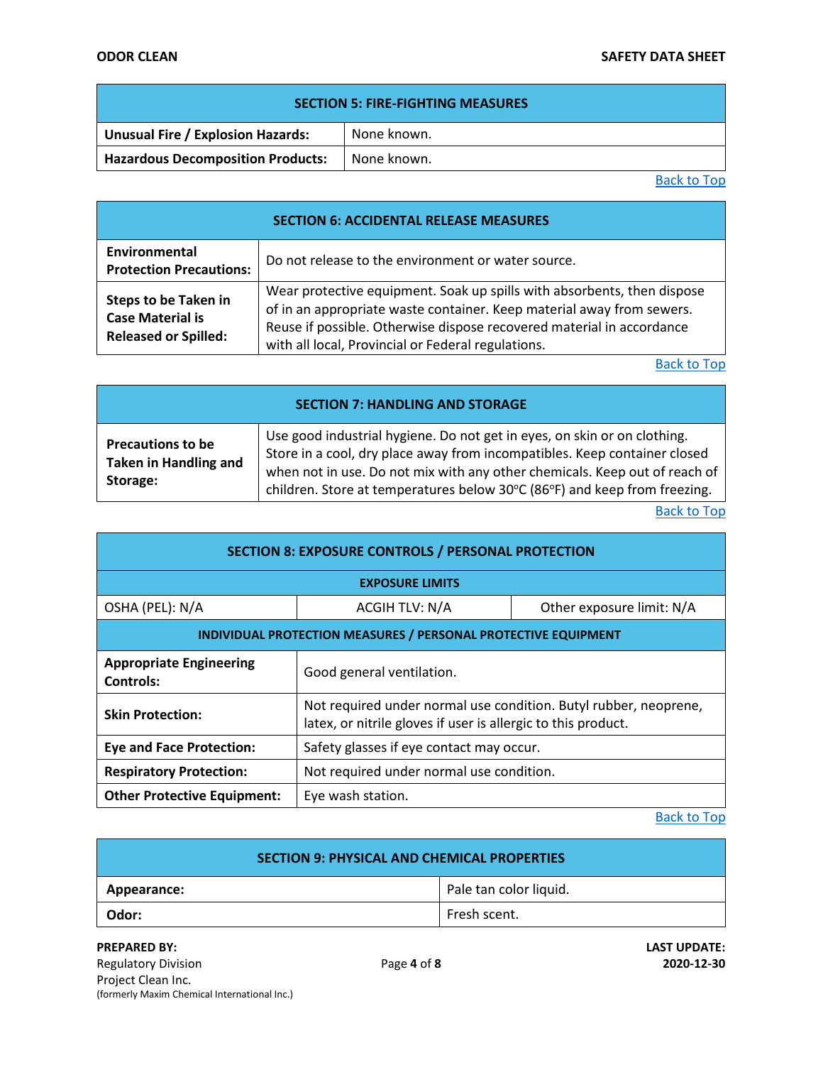### **ODOR CLEAN SAFETY DATA SHEET**

| <b>SECTION 5: FIRE-FIGHTING MEASURES</b> |             |  |
|------------------------------------------|-------------|--|
| Unusual Fire / Explosion Hazards:        | None known. |  |
| <b>Hazardous Decomposition Products:</b> | None known. |  |

[Back to Top](#page-0-0)

<span id="page-3-0"></span>

| <b>SECTION 6: ACCIDENTAL RELEASE MEASURES</b>                                  |                                                                                                                                                                                                                                                                                 |  |
|--------------------------------------------------------------------------------|---------------------------------------------------------------------------------------------------------------------------------------------------------------------------------------------------------------------------------------------------------------------------------|--|
| Environmental<br><b>Protection Precautions:</b>                                | Do not release to the environment or water source.                                                                                                                                                                                                                              |  |
| Steps to be Taken in<br><b>Case Material is</b><br><b>Released or Spilled:</b> | Wear protective equipment. Soak up spills with absorbents, then dispose<br>of in an appropriate waste container. Keep material away from sewers.<br>Reuse if possible. Otherwise dispose recovered material in accordance<br>with all local, Provincial or Federal regulations. |  |

[Back to Top](#page-0-0)

<span id="page-3-1"></span>

| <b>SECTION 7: HANDLING AND STORAGE</b>                               |                                                                                                                                                                                                                                                                                                                  |  |
|----------------------------------------------------------------------|------------------------------------------------------------------------------------------------------------------------------------------------------------------------------------------------------------------------------------------------------------------------------------------------------------------|--|
| <b>Precautions to be</b><br><b>Taken in Handling and</b><br>Storage: | Use good industrial hygiene. Do not get in eyes, on skin or on clothing.<br>Store in a cool, dry place away from incompatibles. Keep container closed<br>when not in use. Do not mix with any other chemicals. Keep out of reach of<br>children. Store at temperatures below 30°C (86°F) and keep from freezing. |  |

[Back to Top](#page-0-0)

<span id="page-3-4"></span><span id="page-3-3"></span><span id="page-3-2"></span>

| <b>SECTION 8: EXPOSURE CONTROLS / PERSONAL PROTECTION</b>      |                                                                                                                                   |  |
|----------------------------------------------------------------|-----------------------------------------------------------------------------------------------------------------------------------|--|
| <b>EXPOSURE LIMITS</b>                                         |                                                                                                                                   |  |
| OSHA (PEL): N/A                                                | ACGIH TLV: N/A<br>Other exposure limit: N/A                                                                                       |  |
| INDIVIDUAL PROTECTION MEASURES / PERSONAL PROTECTIVE EQUIPMENT |                                                                                                                                   |  |
| <b>Appropriate Engineering</b><br><b>Controls:</b>             | Good general ventilation.                                                                                                         |  |
| <b>Skin Protection:</b>                                        | Not required under normal use condition. Butyl rubber, neoprene,<br>latex, or nitrile gloves if user is allergic to this product. |  |
| <b>Eye and Face Protection:</b>                                | Safety glasses if eye contact may occur.                                                                                          |  |
| <b>Respiratory Protection:</b>                                 | Not required under normal use condition.                                                                                          |  |
| <b>Other Protective Equipment:</b>                             | Eye wash station.                                                                                                                 |  |

<span id="page-3-5"></span>

| SECTION 9: PHYSICAL AND CHEMICAL PROPERTIES |                        |  |
|---------------------------------------------|------------------------|--|
| Appearance:                                 | Pale tan color liquid. |  |
| Odor:                                       | Fresh scent.           |  |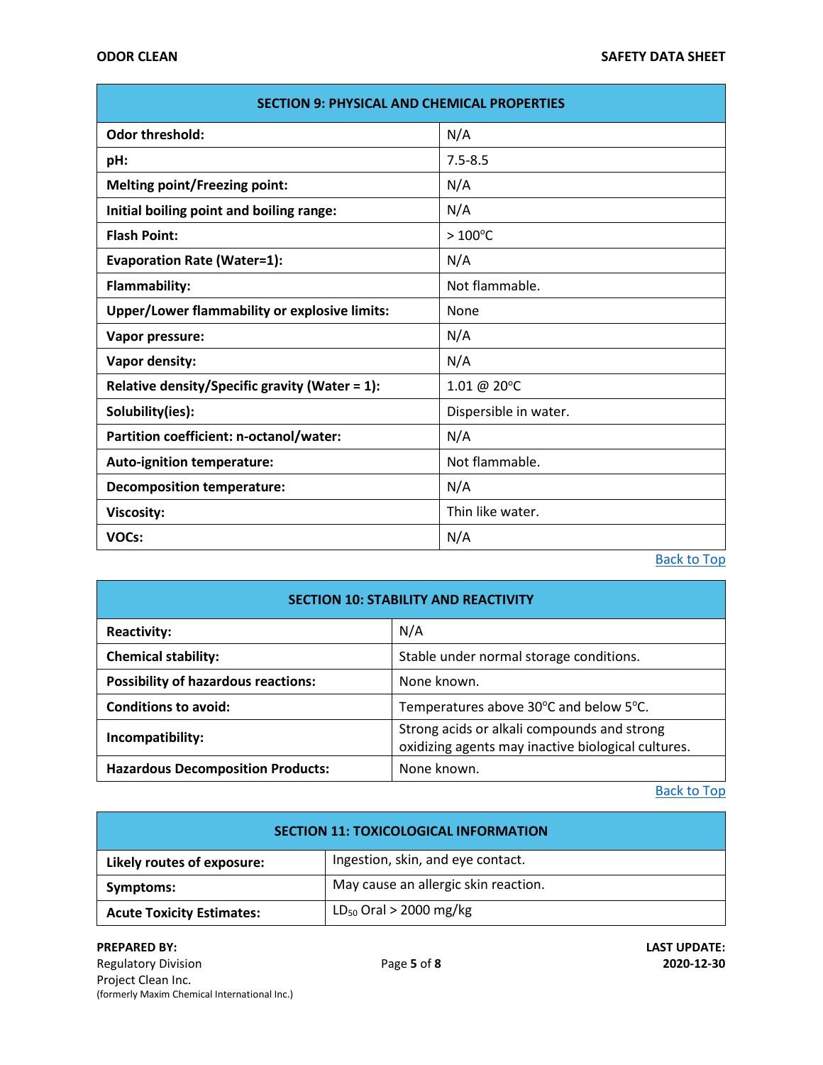ī

| <b>SECTION 9: PHYSICAL AND CHEMICAL PROPERTIES</b> |                       |  |
|----------------------------------------------------|-----------------------|--|
| <b>Odor threshold:</b>                             | N/A                   |  |
| pH:                                                | $7.5 - 8.5$           |  |
| <b>Melting point/Freezing point:</b>               | N/A                   |  |
| Initial boiling point and boiling range:           | N/A                   |  |
| <b>Flash Point:</b>                                | $>100^{\circ}$ C      |  |
| <b>Evaporation Rate (Water=1):</b>                 | N/A                   |  |
| Flammability:                                      | Not flammable.        |  |
| Upper/Lower flammability or explosive limits:      | None                  |  |
| Vapor pressure:                                    | N/A                   |  |
| Vapor density:                                     | N/A                   |  |
| Relative density/Specific gravity (Water = 1):     | 1.01 @ 20°C           |  |
| Solubility(ies):                                   | Dispersible in water. |  |
| Partition coefficient: n-octanol/water:            | N/A                   |  |
| <b>Auto-ignition temperature:</b>                  | Not flammable.        |  |
| <b>Decomposition temperature:</b>                  | N/A                   |  |
| Viscosity:                                         | Thin like water.      |  |
| VOCs:                                              | N/A                   |  |

[Back to Top](#page-0-0)

<span id="page-4-0"></span>

| <b>SECTION 10: STABILITY AND REACTIVITY</b> |                                                                                                   |  |
|---------------------------------------------|---------------------------------------------------------------------------------------------------|--|
| <b>Reactivity:</b>                          | N/A                                                                                               |  |
| <b>Chemical stability:</b>                  | Stable under normal storage conditions.                                                           |  |
| <b>Possibility of hazardous reactions:</b>  | None known.                                                                                       |  |
| <b>Conditions to avoid:</b>                 | Temperatures above 30°C and below 5°C.                                                            |  |
| Incompatibility:                            | Strong acids or alkali compounds and strong<br>oxidizing agents may inactive biological cultures. |  |
| <b>Hazardous Decomposition Products:</b>    | None known.                                                                                       |  |

### [Back to Top](#page-0-0)

<span id="page-4-1"></span>

| <b>SECTION 11: TOXICOLOGICAL INFORMATION</b> |                                      |
|----------------------------------------------|--------------------------------------|
| Likely routes of exposure:                   | Ingestion, skin, and eye contact.    |
| Symptoms:                                    | May cause an allergic skin reaction. |
| <b>Acute Toxicity Estimates:</b>             | $LD_{50}$ Oral > 2000 mg/kg          |

**PREPARED BY: LAST UPDATE:** Regulatory Division Page **5** of **8 2020-12-30** Project Clean Inc. (formerly Maxim Chemical International Inc.)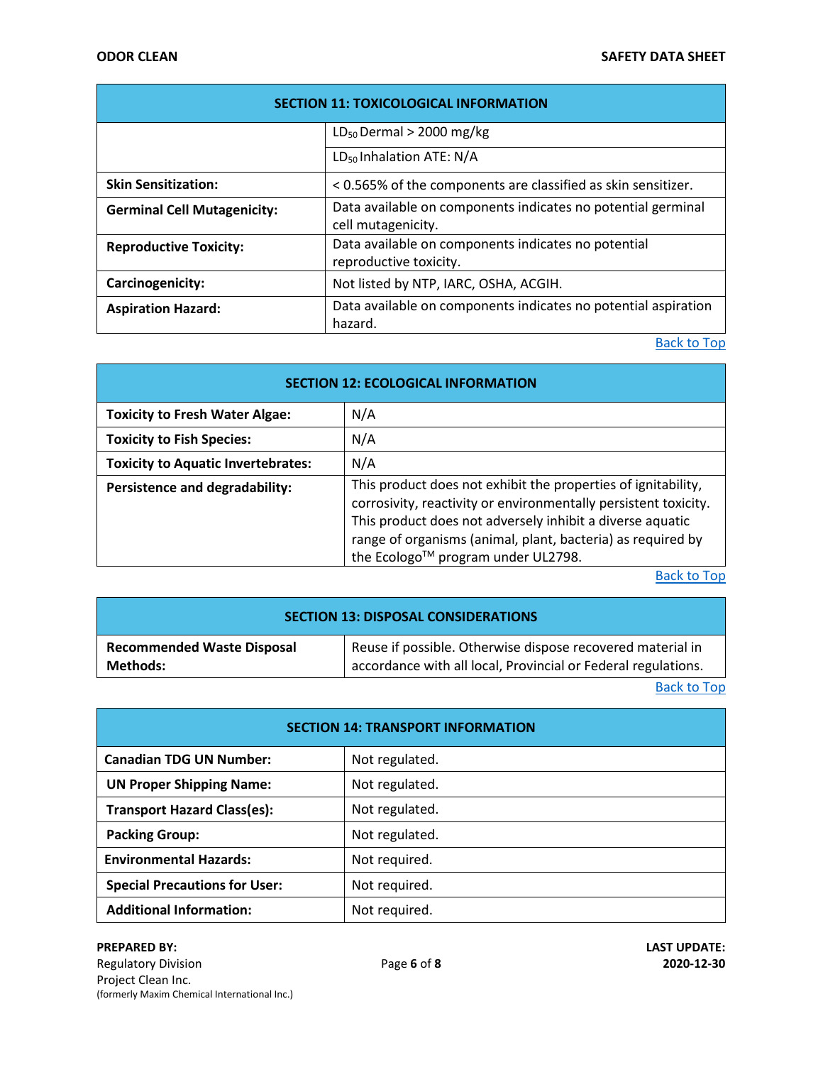| <b>SECTION 11: TOXICOLOGICAL INFORMATION</b> |                                                                                    |
|----------------------------------------------|------------------------------------------------------------------------------------|
|                                              | $LD_{50}$ Dermal > 2000 mg/kg                                                      |
|                                              | LD <sub>50</sub> Inhalation ATE: N/A                                               |
| <b>Skin Sensitization:</b>                   | < 0.565% of the components are classified as skin sensitizer.                      |
| <b>Germinal Cell Mutagenicity:</b>           | Data available on components indicates no potential germinal<br>cell mutagenicity. |
| <b>Reproductive Toxicity:</b>                | Data available on components indicates no potential<br>reproductive toxicity.      |
| Carcinogenicity:                             | Not listed by NTP, IARC, OSHA, ACGIH.                                              |
| <b>Aspiration Hazard:</b>                    | Data available on components indicates no potential aspiration<br>hazard.          |

<span id="page-5-0"></span>

| <b>SECTION 12: ECOLOGICAL INFORMATION</b> |                                                                                                                                                                                                                                                                                                    |
|-------------------------------------------|----------------------------------------------------------------------------------------------------------------------------------------------------------------------------------------------------------------------------------------------------------------------------------------------------|
| <b>Toxicity to Fresh Water Algae:</b>     | N/A                                                                                                                                                                                                                                                                                                |
| <b>Toxicity to Fish Species:</b>          | N/A                                                                                                                                                                                                                                                                                                |
| <b>Toxicity to Aquatic Invertebrates:</b> | N/A                                                                                                                                                                                                                                                                                                |
| Persistence and degradability:            | This product does not exhibit the properties of ignitability,<br>corrosivity, reactivity or environmentally persistent toxicity.<br>This product does not adversely inhibit a diverse aquatic<br>range of organisms (animal, plant, bacteria) as required by<br>the Ecologo™ program under UL2798. |

[Back to Top](#page-0-0)

<span id="page-5-1"></span>

| <b>SECTION 13: DISPOSAL CONSIDERATIONS</b> |                                                               |
|--------------------------------------------|---------------------------------------------------------------|
| <b>Recommended Waste Disposal</b>          | Reuse if possible. Otherwise dispose recovered material in    |
| Methods:                                   | accordance with all local, Provincial or Federal regulations. |

[Back to Top](#page-0-0)

<span id="page-5-2"></span>

| <b>SECTION 14: TRANSPORT INFORMATION</b> |                |  |
|------------------------------------------|----------------|--|
| <b>Canadian TDG UN Number:</b>           | Not regulated. |  |
| <b>UN Proper Shipping Name:</b>          | Not regulated. |  |
| <b>Transport Hazard Class(es):</b>       | Not regulated. |  |
| <b>Packing Group:</b>                    | Not regulated. |  |
| <b>Environmental Hazards:</b>            | Not required.  |  |
| <b>Special Precautions for User:</b>     | Not required.  |  |
| <b>Additional Information:</b>           | Not required.  |  |

## **PREPARED BY: LAST UPDATE:**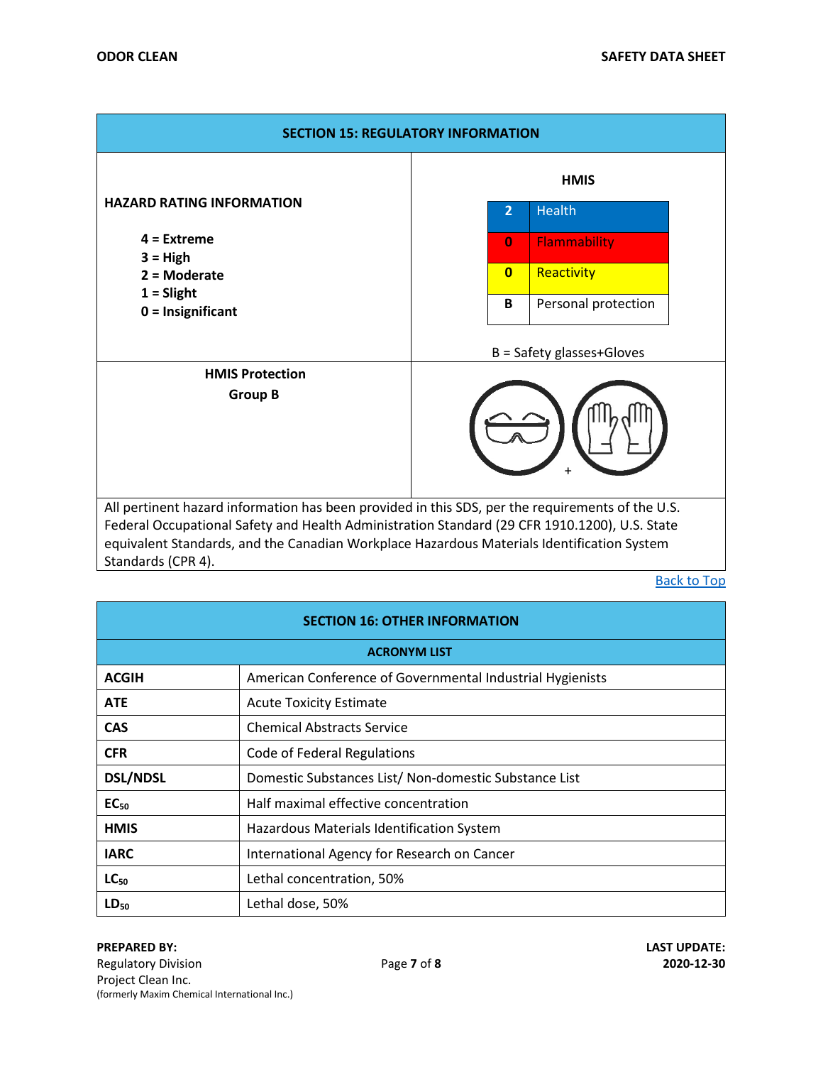<span id="page-6-0"></span>

| <b>SECTION 15: REGULATORY INFORMATION</b>                                                                                                                                                                                                                                                                             |             |              |                             |
|-----------------------------------------------------------------------------------------------------------------------------------------------------------------------------------------------------------------------------------------------------------------------------------------------------------------------|-------------|--------------|-----------------------------|
|                                                                                                                                                                                                                                                                                                                       | <b>HMIS</b> |              |                             |
| <b>HAZARD RATING INFORMATION</b>                                                                                                                                                                                                                                                                                      |             | 2            | <b>Health</b>               |
| $4 =$ Extreme<br>$3 = High$<br>$2 =$ Moderate<br>$1 =$ Slight<br>$0 =$ Insignificant                                                                                                                                                                                                                                  |             | $\bf{0}$     | <b>Flammability</b>         |
|                                                                                                                                                                                                                                                                                                                       |             | $\mathbf{0}$ | Reactivity                  |
|                                                                                                                                                                                                                                                                                                                       |             | B            | Personal protection         |
|                                                                                                                                                                                                                                                                                                                       |             |              | $B =$ Safety glasses+Gloves |
| <b>HMIS Protection</b><br><b>Group B</b>                                                                                                                                                                                                                                                                              |             |              |                             |
| All pertinent hazard information has been provided in this SDS, per the requirements of the U.S.<br>Federal Occupational Safety and Health Administration Standard (29 CFR 1910.1200), U.S. State<br>equivalent Standards, and the Canadian Workplace Hazardous Materials Identification System<br>Standards (CPR 4). |             |              |                             |

<span id="page-6-2"></span><span id="page-6-1"></span>

| <b>SECTION 16: OTHER INFORMATION</b> |                                                           |  |
|--------------------------------------|-----------------------------------------------------------|--|
| <b>ACRONYM LIST</b>                  |                                                           |  |
| <b>ACGIH</b>                         | American Conference of Governmental Industrial Hygienists |  |
| <b>ATE</b>                           | <b>Acute Toxicity Estimate</b>                            |  |
| <b>CAS</b>                           | <b>Chemical Abstracts Service</b>                         |  |
| <b>CFR</b>                           | Code of Federal Regulations                               |  |
| <b>DSL/NDSL</b>                      | Domestic Substances List/ Non-domestic Substance List     |  |
| EC <sub>50</sub>                     | Half maximal effective concentration                      |  |
| <b>HMIS</b>                          | Hazardous Materials Identification System                 |  |
| <b>IARC</b>                          | International Agency for Research on Cancer               |  |
| $LC_{50}$                            | Lethal concentration, 50%                                 |  |
| $LD_{50}$                            | Lethal dose, 50%                                          |  |